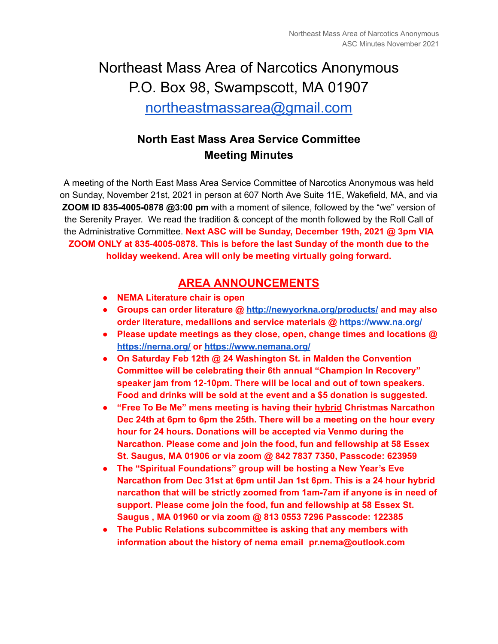# Northeast Mass Area of Narcotics Anonymous P.O. Box 98, Swampscott, MA 01907 [northeastmassarea@gmail.com](mailto:northeastmassarea@gmail.com)

# **North East Mass Area Service Committee Meeting Minutes**

A meeting of the North East Mass Area Service Committee of Narcotics Anonymous was held on Sunday, November 21st, 2021 in person at 607 North Ave Suite 11E, Wakefield, MA, and via **ZOOM ID 835-4005-0878 @3:00 pm** with a moment of silence, followed by the "we" version of the Serenity Prayer. We read the tradition & concept of the month followed by the Roll Call of the Administrative Committee. **Next ASC will be Sunday, December 19th, 2021 @ 3pm VIA ZOOM ONLY at 835-4005-0878. This is before the last Sunday of the month due to the holiday weekend. Area will only be meeting virtually going forward.**

### **AREA ANNOUNCEMENTS**

- **● NEMA Literature chair is open**
- **● Groups can order literature @ <http://newyorkna.org/products/> and may also order literature, medallions and service materials @ <https://www.na.org/>**
- **● Please update meetings as they close, open, change times and locations @ <https://nerna.org/> or <https://www.nemana.org/>**
- **● On Saturday Feb 12th @ 24 Washington St. in Malden the Convention Committee will be celebrating their 6th annual "Champion In Recovery" speaker jam from 12-10pm. There will be local and out of town speakers. Food and drinks will be sold at the event and a \$5 donation is suggested.**
- **● "Free To Be Me" mens meeting is having their hybrid Christmas Narcathon Dec 24th at 6pm to 6pm the 25th. There will be a meeting on the hour every hour for 24 hours. Donations will be accepted via Venmo during the Narcathon. Please come and join the food, fun and fellowship at 58 Essex St. Saugus, MA 01906 or via zoom @ 842 7837 7350, Passcode: 623959**
- **● The "Spiritual Foundations" group will be hosting a New Year's Eve Narcathon from Dec 31st at 6pm until Jan 1st 6pm. This is a 24 hour hybrid narcathon that will be strictly zoomed from 1am-7am if anyone is in need of support. Please come join the food, fun and fellowship at 58 Essex St. Saugus , MA 01960 or via zoom @ 813 0553 7296 Passcode: 122385**
- **● The Public Relations subcommittee is asking that any members with information about the history of nema email [pr.nema@outlook.com](mailto:pr.nema@outlook.com)**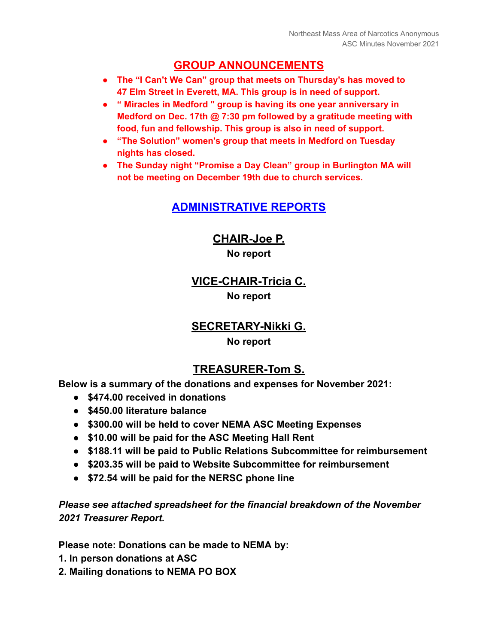### **GROUP ANNOUNCEMENTS**

- **● The "I Can't We Can" group that meets on Thursday's has moved to 47 Elm Street in Everett, MA. This group is in need of support.**
- **● " Miracles in Medford '' group is having its one year anniversary in Medford on Dec. 17th @ 7:30 pm followed by a gratitude meeting with food, fun and fellowship. This group is also in need of support.**
- **● "The Solution" women's group that meets in Medford on Tuesday nights has closed.**
- **● The Sunday night "Promise a Day Clean" group in Burlington MA will not be meeting on December 19th due to church services.**

### **ADMINISTRATIVE REPORTS**

**CHAIR-Joe P.**

**No report**

**VICE-CHAIR-Tricia C. No report**

#### **SECRETARY-Nikki G.**

**No report**

### **TREASURER-Tom S.**

**Below is a summary of the donations and expenses for November 2021:**

- **● \$474.00 received in donations**
- **\$450.00 literature balance**
- **● \$300.00 will be held to cover NEMA ASC Meeting Expenses**
- **● \$10.00 will be paid for the ASC Meeting Hall Rent**
- **● \$188.11 will be paid to Public Relations Subcommittee for reimbursement**
- **● \$203.35 will be paid to Website Subcommittee for reimbursement**
- **● \$72.54 will be paid for the NERSC phone line**

*Please see attached spreadsheet for the financial breakdown of the November 2021 Treasurer Report.*

**Please note: Donations can be made to NEMA by:**

- **1. In person donations at ASC**
- **2. Mailing donations to NEMA PO BOX**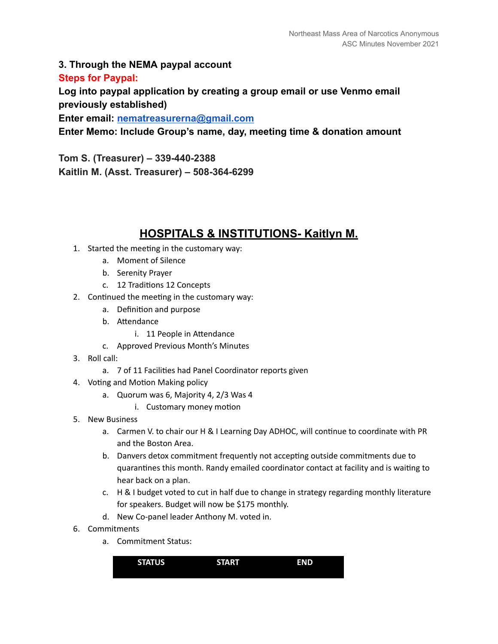**3. Through the NEMA paypal account**

#### **Steps for Paypal:**

**Log into paypal application by creating a group email or use Venmo email previously established)**

**Enter email: [nematreasurerna@gmail.com](mailto:nematreasurerna@gmail.com)**

**Enter Memo: Include Group's name, day, meeting time & donation amount**

**Tom S. (Treasurer) – 339-440-2388**

**Kaitlin M. (Asst. Treasurer) – 508-364-6299**

# **HOSPITALS & INSTITUTIONS- Kaitlyn M.**

- 1. Started the meeting in the customary way:
	- a. Moment of Silence
	- b. Serenity Prayer
	- c. 12 Traditions 12 Concepts
- 2. Continued the meeting in the customary way:
	- a. Definition and purpose
	- b. Attendance
		- i. 11 People in Attendance
	- c. Approved Previous Month's Minutes
- 3. Roll call:
	- a. 7 of 11 Facilities had Panel Coordinator reports given
- 4. Voting and Motion Making policy
	- a. Quorum was 6, Majority 4, 2/3 Was 4
		- i. Customary money motion
- 5. New Business
	- a. Carmen V. to chair our H & I Learning Day ADHOC, will continue to coordinate with PR and the Boston Area.
	- b. Danvers detox commitment frequently not accepting outside commitments due to quarantines this month. Randy emailed coordinator contact at facility and is waiting to hear back on a plan.
	- c. H & I budget voted to cut in half due to change in strategy regarding monthly literature for speakers. Budget will now be \$175 monthly.
	- d. New Co-panel leader Anthony M. voted in.
- 6. Commitments
	- a. Commitment Status:

| <b>STATUS</b> | <b>START</b> | <b>END</b> |
|---------------|--------------|------------|
|               |              |            |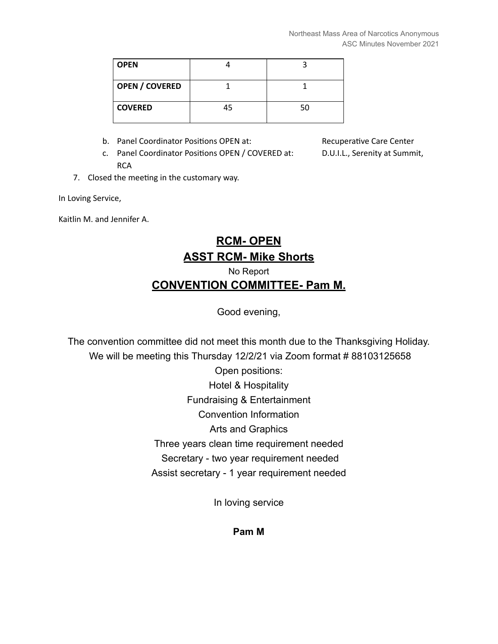| <b>OPEN</b>           |    |    |
|-----------------------|----|----|
| <b>OPEN / COVERED</b> |    |    |
| <b>COVERED</b>        | 45 | 50 |

- b. Panel Coordinator Positions OPEN at: Recuperative Care Center
- c. Panel Coordinator Positions OPEN / COVERED at: D.U.I.L., Serenity at Summit, **RCA**
- 7. Closed the meeting in the customary way.

In Loving Service,

Kaitlin M. and Jennifer A.

### **RCM- OPEN ASST RCM- Mike Shorts**

# No Report **CONVENTION COMMITTEE- Pam M.**

Good evening,

The convention committee did not meet this month due to the Thanksgiving Holiday. We will be meeting this Thursday 12/2/21 via Zoom format # 88103125658

> Open positions: Hotel & Hospitality Fundraising & Entertainment Convention Information Arts and Graphics Three years clean time requirement needed Secretary - two year requirement needed Assist secretary - 1 year requirement needed

> > In loving service

**Pam M**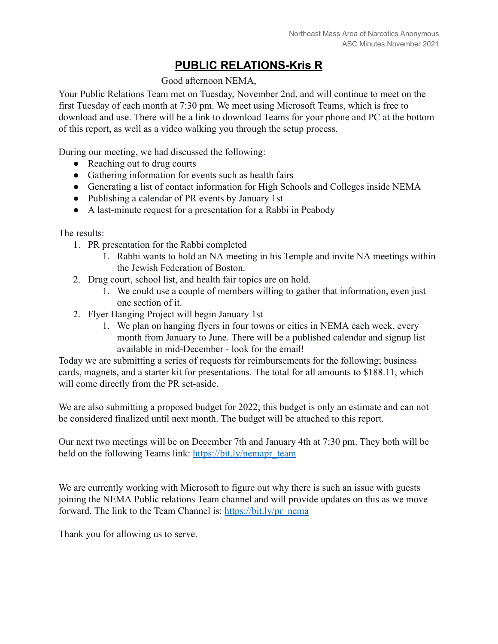# **PUBLIC RELATIONS-Kris R**

#### Good afternoon NEMA,

Your Public Relations Team met on Tuesday, November 2nd, and will continue to meet on the first Tuesday of each month at 7:30 pm. We meet using Microsoft Teams, which is free to download and use. There will be a link to download Teams for your phone and PC at the bottom of this report, as well as a video walking you through the setup process.

During our meeting, we had discussed the following:

- Reaching out to drug courts
- Gathering information for events such as health fairs
- Generating a list of contact information for High Schools and Colleges inside NEMA
- Publishing a calendar of PR events by January 1st
- A last-minute request for a presentation for a Rabbi in Peabody

The results:

- 1. PR presentation for the Rabbi completed
	- 1. Rabbi wants to hold an NA meeting in his Temple and invite NA meetings within the Jewish Federation of Boston.
- 2. Drug court, school list, and health fair topics are on hold.
	- 1. We could use a couple of members willing to gather that information, even just one section of it.
- 2. Flyer Hanging Project will begin January 1st
	- 1. We plan on hanging flyers in four towns or cities in NEMA each week, every month from January to June. There will be a published calendar and signup list available in mid-December - look for the email!

Today we are submitting a series of requests for reimbursements for the following; business cards, magnets, and a starter kit for presentations. The total for all amounts to \$188.11, which will come directly from the PR set-aside.

We are also submitting a proposed budget for 2022; this budget is only an estimate and can not be considered finalized until next month. The budget will be attached to this report.

Our next two meetings will be on December 7th and January 4th at 7:30 pm. They both will be held on the following Teams link: [https://bit.ly/nemapr\\_team](https://bit.ly/nemapr_team)

We are currently working with Microsoft to figure out why there is such an issue with guests joining the NEMA Public relations Team channel and will provide updates on this as we move forward. The link to the Team Channel is: [https://bit.ly/pr\\_nema](https://bit.ly/pr_nema)

Thank you for allowing us to serve.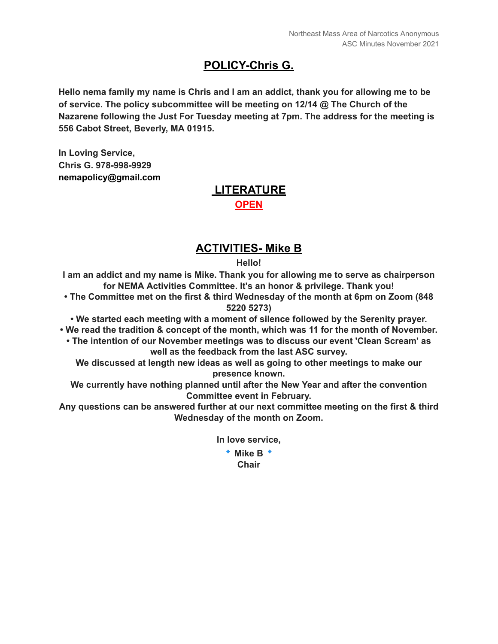# **POLICY-Chris G.**

**Hello nema family my name is Chris and I am an addict, thank you for allowing me to be of service. The policy subcommittee will be meeting on 12/14 @ The Church of the Nazarene following the Just For Tuesday meeting at 7pm. The address for the meeting is 556 Cabot Street, Beverly, MA 01915.**

**In Loving Service, Chris G. 978-998-9929 nemapolicy@gmail.com**

### **LITERATURE OPEN**

#### **ACTIVITIES- Mike B**

**Hello!**

**I am an addict and my name is Mike. Thank you for allowing me to serve as chairperson for NEMA Activities Committee. It's an honor & privilege. Thank you!**

**• The Committee met on the first & third Wednesday of the month at 6pm on Zoom (848 5220 5273)**

**• We started each meeting with a moment of silence followed by the Serenity prayer.**

**• We read the tradition & concept of the month, which was 11 for the month of November.**

**• The intention of our November meetings was to discuss our event 'Clean Scream' as well as the feedback from the last ASC survey.**

**We discussed at length new ideas as well as going to other meetings to make our presence known.**

**We currently have nothing planned until after the New Year and after the convention Committee event in February.**

**Any questions can be answered further at our next committee meeting on the first & third Wednesday of the month on Zoom.**

**In love service,**

**Mike B Chair**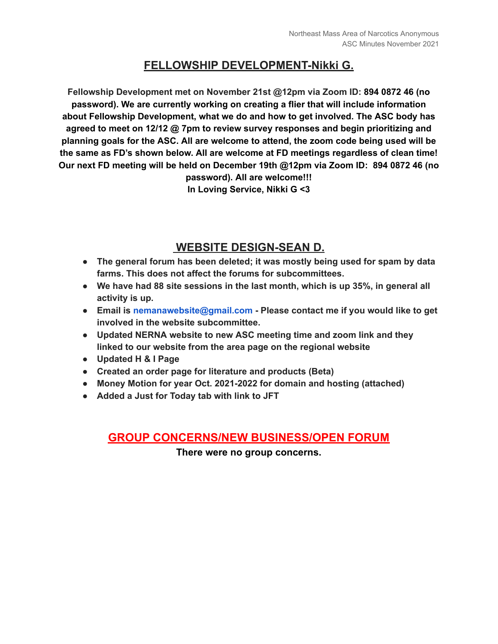### **FELLOWSHIP DEVELOPMENT-Nikki G.**

**Fellowship Development met on November 21st @12pm via Zoom ID: 894 0872 46 (no password). We are currently working on creating a flier that will include information about Fellowship Development, what we do and how to get involved. The ASC body has agreed to meet on 12/12 @ 7pm to review survey responses and begin prioritizing and planning goals for the ASC. All are welcome to attend, the zoom code being used will be the same as FD's shown below. All are welcome at FD meetings regardless of clean time! Our next FD meeting will be held on December 19th @12pm via Zoom ID: 894 0872 46 (no password). All are welcome!!!**

**In Loving Service, Nikki G <3**

# **WEBSITE DESIGN-SEAN D.**

- **● The general forum has been deleted; it was mostly being used for spam by data farms. This does not affect the forums for subcommittees.**
- **● We have had 88 site sessions in the last month, which is up 35%, in general all activity is up.**
- **● Email is nemanawebsite@gmail.com - Please contact me if you would like to get involved in the website subcommittee.**
- **● Updated NERNA website to new ASC meeting time and zoom link and they linked to our website from the area page on the regional website**
- **● Updated H & I Page**
- **● Created an order page for literature and products (Beta)**
- **● Money Motion for year Oct. 2021-2022 for domain and hosting (attached)**
- **● Added a Just for Today tab with link to JFT**

### **GROUP CONCERNS/NEW BUSINESS/OPEN FORUM**

**There were no group concerns.**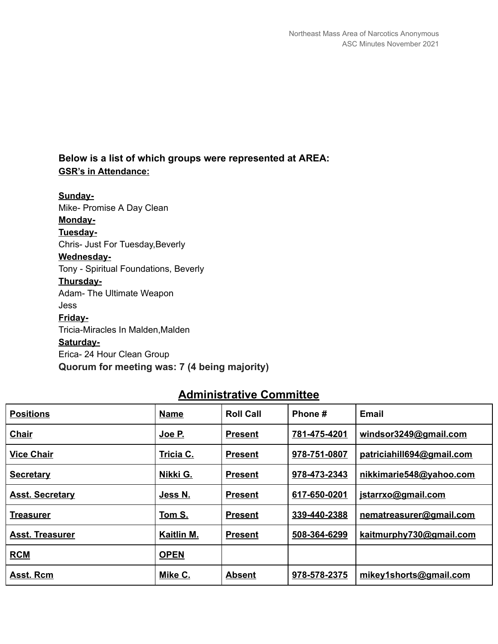#### **Below is a list of which groups were represented at AREA: GSR's in Attendance:**

**Sunday-**Mike- Promise A Day Clean **Monday-Tuesday-**Chris- Just For Tuesday,Beverly **Wednesday-**Tony - Spiritual Foundations, Beverly **Thursday-**Adam- The Ultimate Weapon Jess **Friday-**Tricia-Miracles In Malden,Malden **Saturday-**Erica- 24 Hour Clean Group **Quorum for meeting was: 7 (4 being majority)**

#### **Administrative Committee**

| <b>Positions</b>       | <b>Name</b> | <b>Roll Call</b> | Phone #      | Email                     |
|------------------------|-------------|------------------|--------------|---------------------------|
| <b>Chair</b>           | Joe P.      | <b>Present</b>   | 781-475-4201 | windsor3249@gmail.com     |
| <b>Vice Chair</b>      | Tricia C.   | <b>Present</b>   | 978-751-0807 | patriciahill694@gmail.com |
| <b>Secretary</b>       | Nikki G.    | <b>Present</b>   | 978-473-2343 | nikkimarie548@yahoo.com   |
| <b>Asst. Secretary</b> | Jess N.     | <b>Present</b>   | 617-650-0201 | jstarrxo@gmail.com        |
| <b>Treasurer</b>       | Tom S.      | <b>Present</b>   | 339-440-2388 | nematreasurer@gmail.com   |
| <b>Asst. Treasurer</b> | Kaitlin M.  | <b>Present</b>   | 508-364-6299 | kaitmurphy730@gmail.com   |
| <b>RCM</b>             | <b>OPEN</b> |                  |              |                           |
| <b>Asst. Rcm</b>       | Mike C.     | <b>Absent</b>    | 978-578-2375 | mikey1shorts@gmail.com    |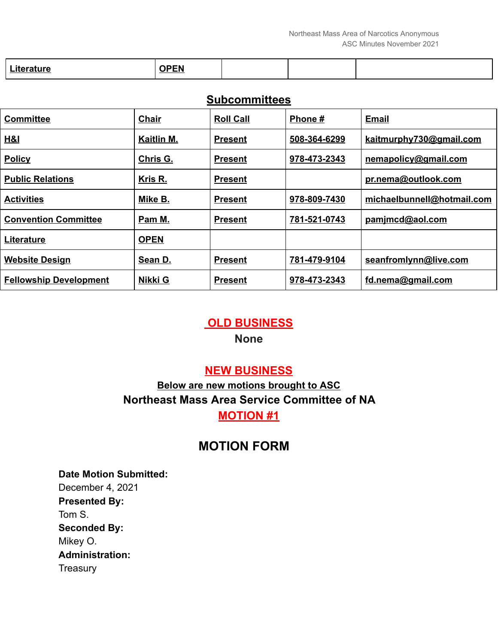| .<br>Ш<br>alure<br>. | <b>ARPH</b> |  |  |
|----------------------|-------------|--|--|
|                      |             |  |  |

#### **Subcommittees**

| <b>Committee</b>              | <b>Chair</b> | <b>Roll Call</b> | Phone #      | <b>Email</b>               |
|-------------------------------|--------------|------------------|--------------|----------------------------|
| H&I                           | Kaitlin M.   | <b>Present</b>   | 508-364-6299 | kaitmurphy730@gmail.com    |
| <b>Policy</b>                 | Chris G.     | <b>Present</b>   | 978-473-2343 | nemapolicy@gmail.com       |
| <b>Public Relations</b>       | Kris R.      | <b>Present</b>   |              | pr.nema@outlook.com        |
| <b>Activities</b>             | Mike B.      | <b>Present</b>   | 978-809-7430 | michaelbunnell@hotmail.com |
| <b>Convention Committee</b>   | Pam M.       | <b>Present</b>   | 781-521-0743 | pamjmcd@aol.com            |
| Literature                    | <b>OPEN</b>  |                  |              |                            |
| <b>Website Design</b>         | Sean D.      | <b>Present</b>   | 781-479-9104 | seanfromlynn@live.com      |
| <b>Fellowship Development</b> | Nikki G      | <b>Present</b>   | 978-473-2343 | fd.nema@gmail.com          |

#### **OLD BUSINESS**

**None**

#### **NEW BUSINESS**

### **Below are new motions brought to ASC Northeast Mass Area Service Committee of NA MOTION #1**

# **MOTION FORM**

**Date Motion Submitted:** December 4, 2021 **Presented By:** Tom S. **Seconded By:** Mikey O. **Administration: Treasury**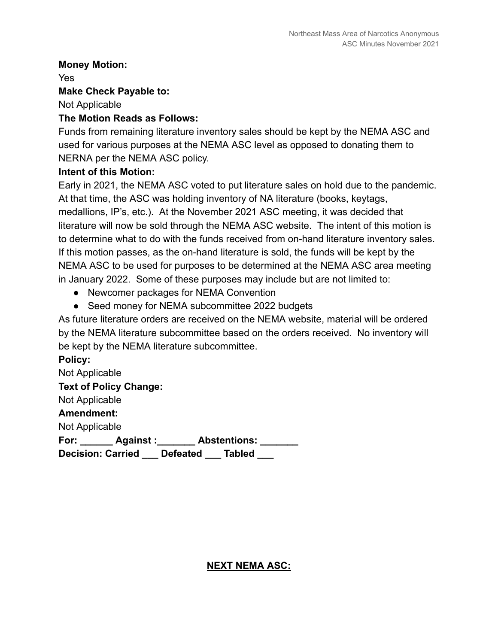#### **Money Motion:**

Yes **Make Check Payable to:** Not Applicable

#### **The Motion Reads as Follows:**

Funds from remaining literature inventory sales should be kept by the NEMA ASC and used for various purposes at the NEMA ASC level as opposed to donating them to NERNA per the NEMA ASC policy.

#### **Intent of this Motion:**

Early in 2021, the NEMA ASC voted to put literature sales on hold due to the pandemic. At that time, the ASC was holding inventory of NA literature (books, keytags, medallions, IP's, etc.). At the November 2021 ASC meeting, it was decided that literature will now be sold through the NEMA ASC website. The intent of this motion is to determine what to do with the funds received from on-hand literature inventory sales. If this motion passes, as the on-hand literature is sold, the funds will be kept by the NEMA ASC to be used for purposes to be determined at the NEMA ASC area meeting in January 2022. Some of these purposes may include but are not limited to:

- Newcomer packages for NEMA Convention
- Seed money for NEMA subcommittee 2022 budgets

As future literature orders are received on the NEMA website, material will be ordered by the NEMA literature subcommittee based on the orders received. No inventory will be kept by the NEMA literature subcommittee.

**Policy:** Not Applicable **Text of Policy Change:** Not Applicable **Amendment:** Not Applicable For: Against : Abstentions: Abstentions. **Decision: Carried \_\_\_ Defeated \_\_\_ Tabled \_\_\_**

**NEXT NEMA ASC:**